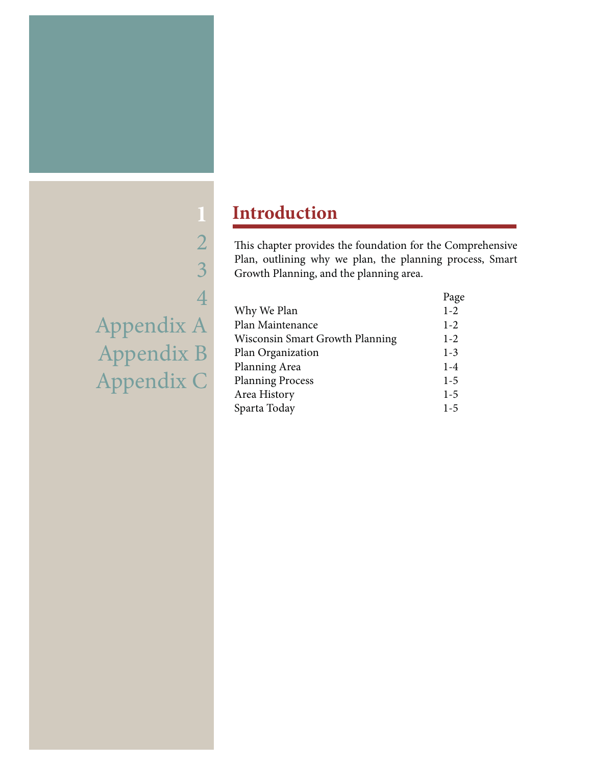# 2 3 4 Appendix A Appendix B Appendix C

**1**

## **Introduction**

This chapter provides the foundation for the Comprehensive Plan, outlining why we plan, the planning process, Smart Growth Planning, and the planning area.

|                                 | Page    |
|---------------------------------|---------|
| Why We Plan                     | $1 - 2$ |
| Plan Maintenance                | $1-2$   |
| Wisconsin Smart Growth Planning | $1-2$   |
| Plan Organization               | $1-3$   |
| Planning Area                   | $1 - 4$ |
| <b>Planning Process</b>         | $1-5$   |
| Area History                    | $1 - 5$ |
| Sparta Today                    | $1-5$   |
|                                 |         |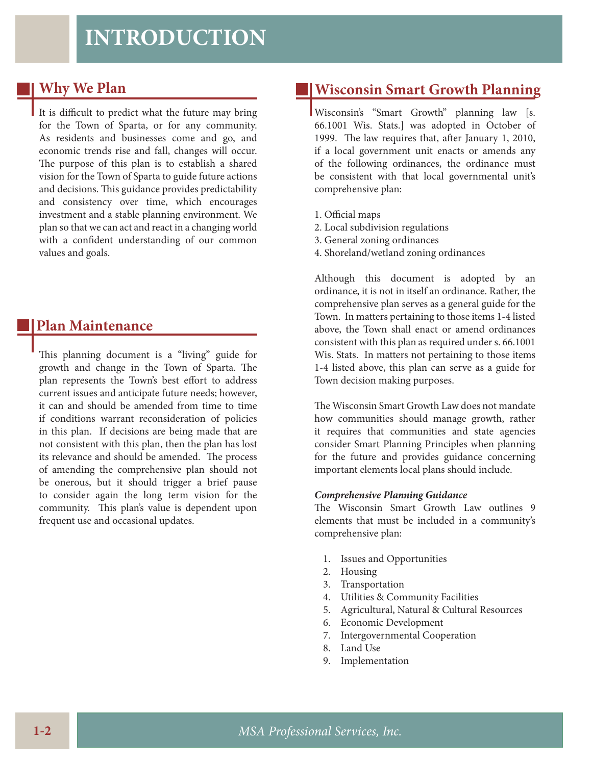## **INTRODUCTION**

### **Why We Plan**

It is difficult to predict what the future may bring for the Town of Sparta, or for any community. As residents and businesses come and go, and economic trends rise and fall, changes will occur. The purpose of this plan is to establish a shared vision for the Town of Sparta to guide future actions and decisions. This guidance provides predictability and consistency over time, which encourages investment and a stable planning environment. We plan so that we can act and react in a changing world with a confident understanding of our common values and goals.

### **Plan Maintenance**

This planning document is a "living" guide for growth and change in the Town of Sparta. The plan represents the Town's best effort to address current issues and anticipate future needs; however, it can and should be amended from time to time if conditions warrant reconsideration of policies in this plan. If decisions are being made that are not consistent with this plan, then the plan has lost its relevance and should be amended. The process of amending the comprehensive plan should not be onerous, but it should trigger a brief pause to consider again the long term vision for the community. This plan's value is dependent upon frequent use and occasional updates.

## **Wisconsin Smart Growth Planning**

Wisconsin's "Smart Growth" planning law [s. 66.1001 Wis. Stats.] was adopted in October of 1999. The law requires that, after January 1, 2010, if a local government unit enacts or amends any of the following ordinances, the ordinance must be consistent with that local governmental unit's comprehensive plan:

- 1. Official maps
- 2. Local subdivision regulations
- 3. General zoning ordinances
- 4. Shoreland/wetland zoning ordinances

Although this document is adopted by an ordinance, it is not in itself an ordinance. Rather, the comprehensive plan serves as a general guide for the Town. In matters pertaining to those items 1-4 listed above, the Town shall enact or amend ordinances consistent with this plan as required under s. 66.1001 Wis. Stats. In matters not pertaining to those items 1-4 listed above, this plan can serve as a guide for Town decision making purposes.

The Wisconsin Smart Growth Law does not mandate how communities should manage growth, rather it requires that communities and state agencies consider Smart Planning Principles when planning for the future and provides guidance concerning important elements local plans should include.

#### *Comprehensive Planning Guidance*

The Wisconsin Smart Growth Law outlines 9 elements that must be included in a community's comprehensive plan:

- 1. Issues and Opportunities
- 2. Housing
- 3. Transportation
- 4. Utilities & Community Facilities
- 5. Agricultural, Natural & Cultural Resources
- 6. Economic Development
- 7. Intergovernmental Cooperation
- 8. Land Use
- 9. Implementation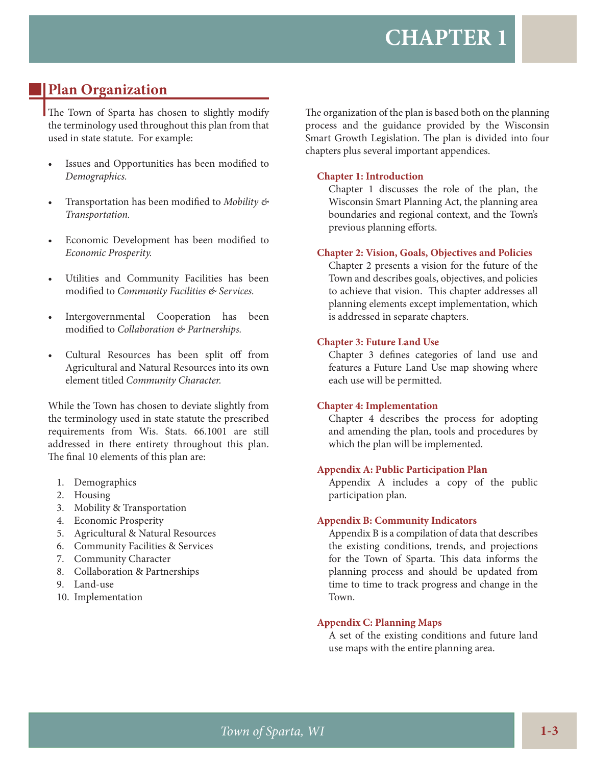## **Plan Organization**

The Town of Sparta has chosen to slightly modify the terminology used throughout this plan from that used in state statute. For example:

- Issues and Opportunities has been modified to *Demographics.*
- Transportation has been modified to *Mobility* & *Transportation.*
- Economic Development has been modified to *Economic Prosperity.*
- Utilities and Community Facilities has been modified to *Community Facilities* & Services.
- Intergovernmental Cooperation has been modified to *Collaboration* & *Partnerships*.
- Cultural Resources has been split off from Agricultural and Natural Resources into its own element titled *Community Character.*

While the Town has chosen to deviate slightly from the terminology used in state statute the prescribed requirements from Wis. Stats. 66.1001 are still addressed in there entirety throughout this plan. The final 10 elements of this plan are:

- 1. Demographics
- 2. Housing
- 3. Mobility & Transportation
- 4. Economic Prosperity
- 5. Agricultural & Natural Resources
- 6. Community Facilities & Services
- 7. Community Character
- 8. Collaboration & Partnerships
- 9. Land-use
- 10. Implementation

The organization of the plan is based both on the planning process and the guidance provided by the Wisconsin Smart Growth Legislation. The plan is divided into four chapters plus several important appendices.

#### **Chapter 1: Introduction**

Chapter 1 discusses the role of the plan, the Wisconsin Smart Planning Act, the planning area boundaries and regional context, and the Town's previous planning efforts.

#### **Chapter 2: Vision, Goals, Objectives and Policies**

Chapter 2 presents a vision for the future of the Town and describes goals, objectives, and policies to achieve that vision. This chapter addresses all planning elements except implementation, which is addressed in separate chapters.

#### **Chapter 3: Future Land Use**

Chapter 3 defines categories of land use and features a Future Land Use map showing where each use will be permitted.

#### **Chapter 4: Implementation**

Chapter 4 describes the process for adopting and amending the plan, tools and procedures by which the plan will be implemented.

#### **Appendix A: Public Participation Plan**

Appendix A includes a copy of the public participation plan.

#### **Appendix B: Community Indicators**

Appendix B is a compilation of data that describes the existing conditions, trends, and projections for the Town of Sparta. This data informs the planning process and should be updated from time to time to track progress and change in the Town.

#### **Appendix C: Planning Maps**

A set of the existing conditions and future land use maps with the entire planning area.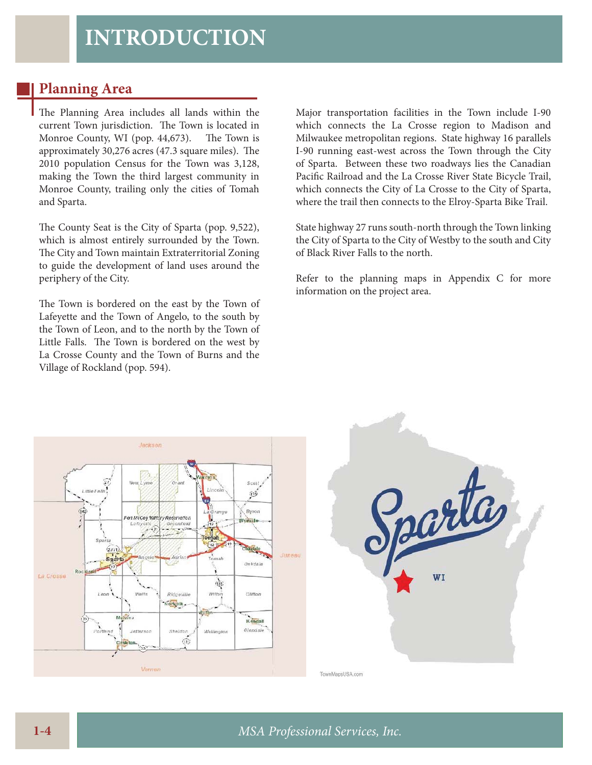## **Planning Area**

The Planning Area includes all lands within the current Town jurisdiction. The Town is located in Monroe County, WI (pop. 44,673). The Town is approximately 30,276 acres (47.3 square miles). The 2010 population Census for the Town was 3,128, making the Town the third largest community in Monroe County, trailing only the cities of Tomah and Sparta.

The County Seat is the City of Sparta (pop. 9,522), which is almost entirely surrounded by the Town. The City and Town maintain Extraterritorial Zoning to guide the development of land uses around the periphery of the City.

The Town is bordered on the east by the Town of Lafeyette and the Town of Angelo, to the south by the Town of Leon, and to the north by the Town of Little Falls. The Town is bordered on the west by La Crosse County and the Town of Burns and the Village of Rockland (pop. 594).

Major transportation facilities in the Town include I-90 which connects the La Crosse region to Madison and Milwaukee metropolitan regions. State highway 16 parallels I-90 running east-west across the Town through the City of Sparta. Between these two roadways lies the Canadian Pacific Railroad and the La Crosse River State Bicycle Trail, which connects the City of La Crosse to the City of Sparta, where the trail then connects to the Elroy-Sparta Bike Trail.

State highway 27 runs south-north through the Town linking the City of Sparta to the City of Westby to the south and City of Black River Falls to the north.

Refer to the planning maps in Appendix C for more information on the project area.



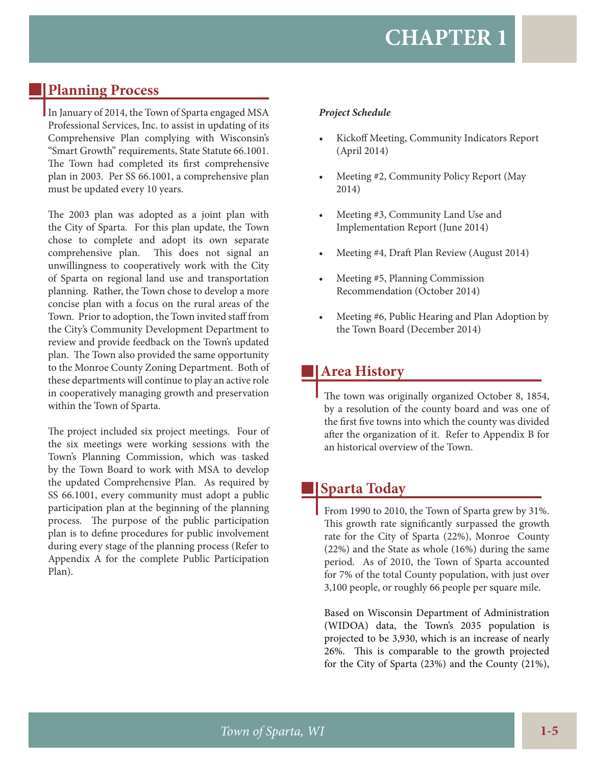## **Planning Process**

In January of 2014, the Town of Sparta engaged MSA Professional Services, Inc. to assist in updating of its Comprehensive Plan complying with Wisconsin's "Smart Growth" requirements, State Statute 66.1001. The Town had completed its first comprehensive plan in 2003. Per SS 66.1001, a comprehensive plan must be updated every 10 years.

The 2003 plan was adopted as a joint plan with the City of Sparta. For this plan update, the Town chose to complete and adopt its own separate comprehensive plan. This does not signal an unwillingness to cooperatively work with the City of Sparta on regional land use and transportation planning. Rather, the Town chose to develop a more concise plan with a focus on the rural areas of the Town. Prior to adoption, the Town invited staff from the City's Community Development Department to review and provide feedback on the Town's updated plan. The Town also provided the same opportunity to the Monroe County Zoning Department. Both of these departments will continue to play an active role in cooperatively managing growth and preservation within the Town of Sparta.

The project included six project meetings. Four of the six meetings were working sessions with the Town's Planning Commission, which was tasked by the Town Board to work with MSA to develop the updated Comprehensive Plan. As required by SS 66.1001, every community must adopt a public participation plan at the beginning of the planning process. The purpose of the public participation plan is to define procedures for public involvement during every stage of the planning process (Refer to Appendix A for the complete Public Participation Plan).

#### *Project Schedule*

- Kickoff Meeting, Community Indicators Report (April 2014)
- Meeting #2, Community Policy Report (May 2014)
- Meeting #3, Community Land Use and Implementation Report (June 2014)
- Meeting #4, Draft Plan Review (August 2014)
- Meeting #5, Planning Commission Recommendation (October 2014)
- Meeting #6, Public Hearing and Plan Adoption by the Town Board (December 2014)

## **Area History**

The town was originally organized October 8, 1854, by a resolution of the county board and was one of the first five towns into which the county was divided after the organization of it. Refer to Appendix B for an historical overview of the Town.

## **Sparta Today**

From 1990 to 2010, the Town of Sparta grew by 31%. This growth rate significantly surpassed the growth rate for the City of Sparta (22%), Monroe County (22%) and the State as whole (16%) during the same period. As of 2010, the Town of Sparta accounted for 7% of the total County population, with just over 3,100 people, or roughly 66 people per square mile.

Based on Wisconsin Department of Administration (WIDOA) data, the Town's 2035 population is projected to be 3,930, which is an increase of nearly 26%. This is comparable to the growth projected for the City of Sparta (23%) and the County (21%),